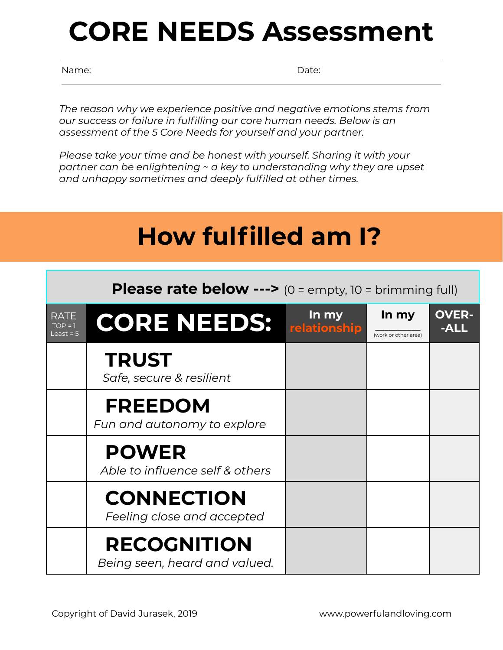## **CORE NEEDS Assessment**

Name: **Name:** Date: **Name:** 2008. **Date:** 2008. **Date:** 2008. Date: 2008. Date: 2008. Date: 2008. 2014. 2014. 2014. 2014. 2014. 2014. 2014. 2014. 2014. 2014. 2014. 2014. 2014. 2014. 2014. 2014. 2014. 2014. 2014. 2014. 2014

*The reason why we experience positive and negative emotions stems from our success or failure in fulfilling our core human needs. Below is an assessment of the 5 Core Needs for yourself and your partner.*

*Please take your time and be honest with yourself. Sharing it with your partner can be enlightening ~ a key to understanding why they are upset and unhappy sometimes and deeply fulfilled at other times.*

## **How fulfilled am I?**

**Please rate below --->** (0 = empty, 10 = brimming full)

| RATE<br>$TOP = 1$<br>Least = $5$ | <b>CORE NEEDS:</b>                                  | In my<br>relationship | In my<br>(work or other area) | <b>OVER-</b><br>-ALL |
|----------------------------------|-----------------------------------------------------|-----------------------|-------------------------------|----------------------|
|                                  | <b>TRUST</b><br>Safe, secure & resilient            |                       |                               |                      |
|                                  | <b>FREEDOM</b><br>Fun and autonomy to explore       |                       |                               |                      |
|                                  | <b>POWER</b><br>Able to influence self & others     |                       |                               |                      |
|                                  | <b>CONNECTION</b><br>Feeling close and accepted     |                       |                               |                      |
|                                  | <b>RECOGNITION</b><br>Being seen, heard and valued. |                       |                               |                      |